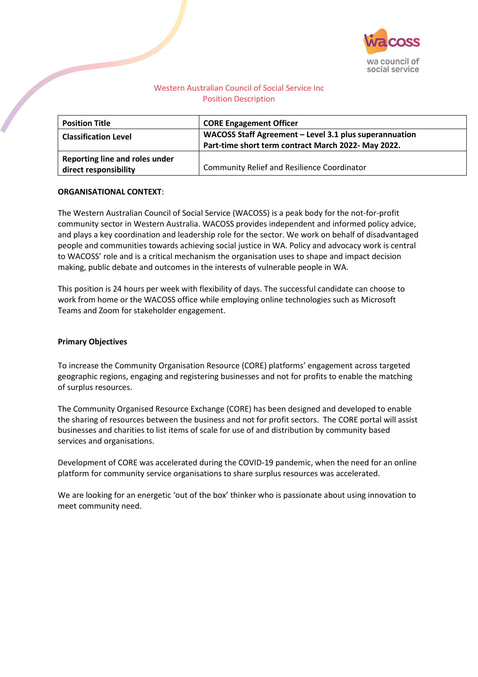

# Western Australian Council of Social Service Inc Position Description

| <b>Position Title</b>                                   | <b>CORE Engagement Officer</b>                                                                                |
|---------------------------------------------------------|---------------------------------------------------------------------------------------------------------------|
| <b>Classification Level</b>                             | WACOSS Staff Agreement - Level 3.1 plus superannuation<br>Part-time short term contract March 2022- May 2022. |
| Reporting line and roles under<br>direct responsibility | <b>Community Relief and Resilience Coordinator</b>                                                            |

# **ORGANISATIONAL CONTEXT**:

The Western Australian Council of Social Service (WACOSS) is a peak body for the not-for-profit community sector in Western Australia. WACOSS provides independent and informed policy advice, and plays a key coordination and leadership role for the sector. We work on behalf of disadvantaged people and communities towards achieving social justice in WA. Policy and advocacy work is central to WACOSS' role and is a critical mechanism the organisation uses to shape and impact decision making, public debate and outcomes in the interests of vulnerable people in WA.

This position is 24 hours per week with flexibility of days. The successful candidate can choose to work from home or the WACOSS office while employing online technologies such as Microsoft Teams and Zoom for stakeholder engagement.

### **Primary Objectives**

To increase the Community Organisation Resource (CORE) platforms' engagement across targeted geographic regions, engaging and registering businesses and not for profits to enable the matching of surplus resources.

The Community Organised Resource Exchange (CORE) has been designed and developed to enable the sharing of resources between the business and not for profit sectors. The CORE portal will assist businesses and charities to list items of scale for use of and distribution by community based services and organisations.

Development of CORE was accelerated during the COVID-19 pandemic, when the need for an online platform for community service organisations to share surplus resources was accelerated.

We are looking for an energetic 'out of the box' thinker who is passionate about using innovation to meet community need.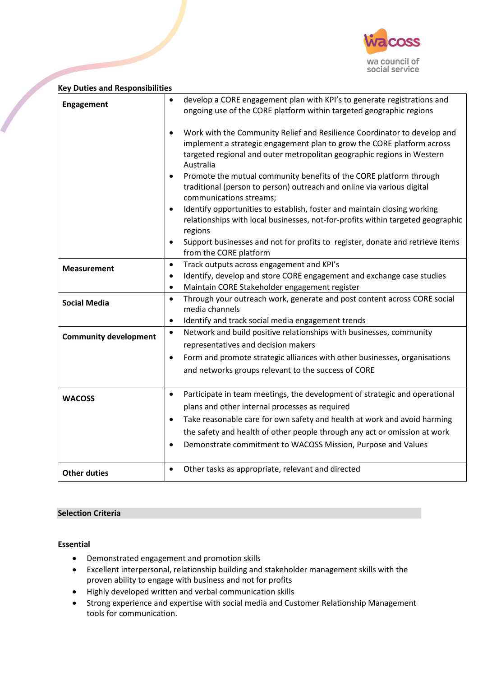

| <b>Key Duties and Responsibilities</b> |                                                                                                                                                                                                                                                                                                                                                                                                                                                                                                                                                                                                                                                                                                                                                                                                                                                                                                                              |
|----------------------------------------|------------------------------------------------------------------------------------------------------------------------------------------------------------------------------------------------------------------------------------------------------------------------------------------------------------------------------------------------------------------------------------------------------------------------------------------------------------------------------------------------------------------------------------------------------------------------------------------------------------------------------------------------------------------------------------------------------------------------------------------------------------------------------------------------------------------------------------------------------------------------------------------------------------------------------|
| <b>Engagement</b>                      | develop a CORE engagement plan with KPI's to generate registrations and<br>$\bullet$<br>ongoing use of the CORE platform within targeted geographic regions<br>Work with the Community Relief and Resilience Coordinator to develop and<br>$\bullet$<br>implement a strategic engagement plan to grow the CORE platform across<br>targeted regional and outer metropolitan geographic regions in Western<br>Australia<br>Promote the mutual community benefits of the CORE platform through<br>$\bullet$<br>traditional (person to person) outreach and online via various digital<br>communications streams;<br>Identify opportunities to establish, foster and maintain closing working<br>$\bullet$<br>relationships with local businesses, not-for-profits within targeted geographic<br>regions<br>Support businesses and not for profits to register, donate and retrieve items<br>$\bullet$<br>from the CORE platform |
| <b>Measurement</b>                     | Track outputs across engagement and KPI's<br>$\bullet$<br>Identify, develop and store CORE engagement and exchange case studies<br>$\bullet$<br>Maintain CORE Stakeholder engagement register<br>$\bullet$                                                                                                                                                                                                                                                                                                                                                                                                                                                                                                                                                                                                                                                                                                                   |
| <b>Social Media</b>                    | Through your outreach work, generate and post content across CORE social<br>$\bullet$<br>media channels<br>Identify and track social media engagement trends<br>$\bullet$                                                                                                                                                                                                                                                                                                                                                                                                                                                                                                                                                                                                                                                                                                                                                    |
| <b>Community development</b>           | Network and build positive relationships with businesses, community<br>$\bullet$<br>representatives and decision makers<br>Form and promote strategic alliances with other businesses, organisations<br>$\bullet$<br>and networks groups relevant to the success of CORE                                                                                                                                                                                                                                                                                                                                                                                                                                                                                                                                                                                                                                                     |
| <b>WACOSS</b>                          | Participate in team meetings, the development of strategic and operational<br>$\bullet$<br>plans and other internal processes as required<br>Take reasonable care for own safety and health at work and avoid harming<br>$\bullet$<br>the safety and health of other people through any act or omission at work<br>Demonstrate commitment to WACOSS Mission, Purpose and Values<br>$\bullet$                                                                                                                                                                                                                                                                                                                                                                                                                                                                                                                                 |
| <b>Other duties</b>                    | Other tasks as appropriate, relevant and directed<br>$\bullet$                                                                                                                                                                                                                                                                                                                                                                                                                                                                                                                                                                                                                                                                                                                                                                                                                                                               |

## **Selection Criteria**

### **Essential**

- Demonstrated engagement and promotion skills
- Excellent interpersonal, relationship building and stakeholder management skills with the proven ability to engage with business and not for profits
- Highly developed written and verbal communication skills
- Strong experience and expertise with social media and Customer Relationship Management tools for communication.